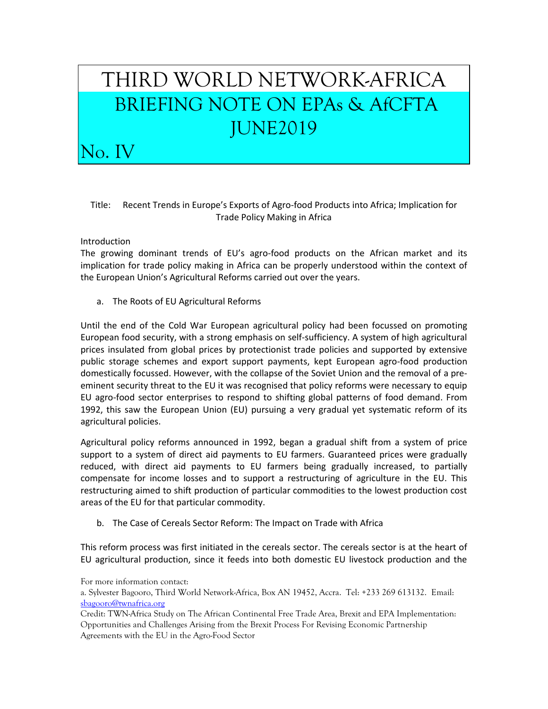## THIRD WORLD NETWORK-AFRICA BRIEFING NOTE ON EPAs & AfCFTA JUNE2019

## Title: Recent Trends in Europe's Exports of Agro-food Products into Africa; Implication for Trade Policy Making in Africa

## Introduction

No. IV

The growing dominant trends of EU's agro-food products on the African market and its implication for trade policy making in Africa can be properly understood within the context of the European Union's Agricultural Reforms carried out over the years.

a. The Roots of EU Agricultural Reforms

Until the end of the Cold War European agricultural policy had been focussed on promoting European food security, with a strong emphasis on self-sufficiency. A system of high agricultural prices insulated from global prices by protectionist trade policies and supported by extensive public storage schemes and export support payments, kept European agro-food production domestically focussed. However, with the collapse of the Soviet Union and the removal of a preeminent security threat to the EU it was recognised that policy reforms were necessary to equip EU agro-food sector enterprises to respond to shifting global patterns of food demand. From 1992, this saw the European Union (EU) pursuing a very gradual yet systematic reform of its agricultural policies.

Agricultural policy reforms announced in 1992, began a gradual shift from a system of price support to a system of direct aid payments to EU farmers. Guaranteed prices were gradually reduced, with direct aid payments to EU farmers being gradually increased, to partially compensate for income losses and to support a restructuring of agriculture in the EU. This restructuring aimed to shift production of particular commodities to the lowest production cost areas of the EU for that particular commodity.

b. The Case of Cereals Sector Reform: The Impact on Trade with Africa

This reform process was first initiated in the cereals sector. The cereals sector is at the heart of EU agricultural production, since it feeds into both domestic EU livestock production and the

For more information contact:

a. Sylvester Bagooro, Third World Network-Africa, Box AN 19452, Accra. Tel: +233 269 613132. Email: [sbagooro@twnafrica.org](mailto:sbagooro@twnafrica.org)

Credit: TWN-Africa Study on The African Continental Free Trade Area, Brexit and EPA Implementation: Opportunities and Challenges Arising from the Brexit Process For Revising Economic Partnership Agreements with the EU in the Agro-Food Sector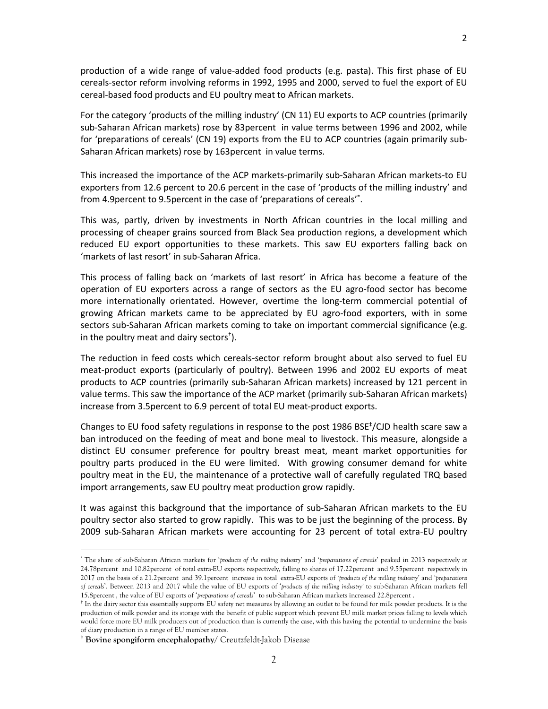production of a wide range of value-added food products (e.g. pasta). This first phase of EU cereals-sector reform involving reforms in 1992, 1995 and 2000, served to fuel the export of EU cereal-based food products and EU poultry meat to African markets.

For the category 'products of the milling industry' (CN 11) EU exports to ACP countries (primarily sub-Saharan African markets) rose by 83percent in value terms between 1996 and 2002, while for 'preparations of cereals' (CN 19) exports from the EU to ACP countries (again primarily sub-Saharan African markets) rose by 163percent in value terms.

This increased the importance of the ACP markets-primarily sub-Saharan African markets-to EU exporters from 12.6 percent to 20.6 percent in the case of 'products of the milling industry' and from 4.9percent to 9.5percent in the case of 'preparations of cereals' \* .

This was, partly, driven by investments in North African countries in the local milling and processing of cheaper grains sourced from Black Sea production regions, a development which reduced EU export opportunities to these markets. This saw EU exporters falling back on 'markets of last resort' in sub-Saharan Africa.

This process of falling back on 'markets of last resort' in Africa has become a feature of the operation of EU exporters across a range of sectors as the EU agro-food sector has become more internationally orientated. However, overtime the long-term commercial potential of growing African markets came to be appreciated by EU agro-food exporters, with in some sectors sub-Saharan African markets coming to take on important commercial significance (e.g. in the poultry meat and dairy sectors† ).

The reduction in feed costs which cereals-sector reform brought about also served to fuel EU meat-product exports (particularly of poultry). Between 1996 and 2002 EU exports of meat products to ACP countries (primarily sub-Saharan African markets) increased by 121 percent in value terms. This saw the importance of the ACP market (primarily sub-Saharan African markets) increase from 3.5percent to 6.9 percent of total EU meat-product exports.

Changes to EU food safety regulations in response to the post 1986 BSE<sup>‡</sup>/CJD health scare saw a ban introduced on the feeding of meat and bone meal to livestock. This measure, alongside a distinct EU consumer preference for poultry breast meat, meant market opportunities for poultry parts produced in the EU were limited. With growing consumer demand for white poultry meat in the EU, the maintenance of a protective wall of carefully regulated TRQ based import arrangements, saw EU poultry meat production grow rapidly.

It was against this background that the importance of sub-Saharan African markets to the EU poultry sector also started to grow rapidly. This was to be just the beginning of the process. By 2009 sub-Saharan African markets were accounting for 23 percent of total extra-EU poultry

 $\overline{a}$ 

<sup>\*</sup> The share of sub-Saharan African markets for '*products of the milling industry*' and '*preparations of cereals*' peaked in 2013 respectively at 24.78percent and 10.82percent of total extra-EU exports respectively, falling to shares of 17.22percent and 9.55percent respectively in 2017 on the basis of a 21.2percent and 39.1percent increase in total extra-EU exports of '*products of the milling industry*' and '*preparations of cereals*'. Between 2013 and 2017 while the value of EU exports of '*products of the milling industry'* to sub-Saharan African markets fell 15.8percent , the value of EU exports of '*preparations of cereals*' to sub-Saharan African markets increased 22.8percent .

<sup>†</sup> In the dairy sector this essentially supports EU safety net measures by allowing an outlet to be found for milk powder products. It is the production of milk powder and its storage with the benefit of public support which prevent EU milk market prices falling to levels which would force more EU milk producers out of production than is currently the case, with this having the potential to undermine the basis of diary production in a range of EU member states.

<sup>‡</sup> **Bovine spongiform encephalopathy/** Creutzfeldt-Jakob Disease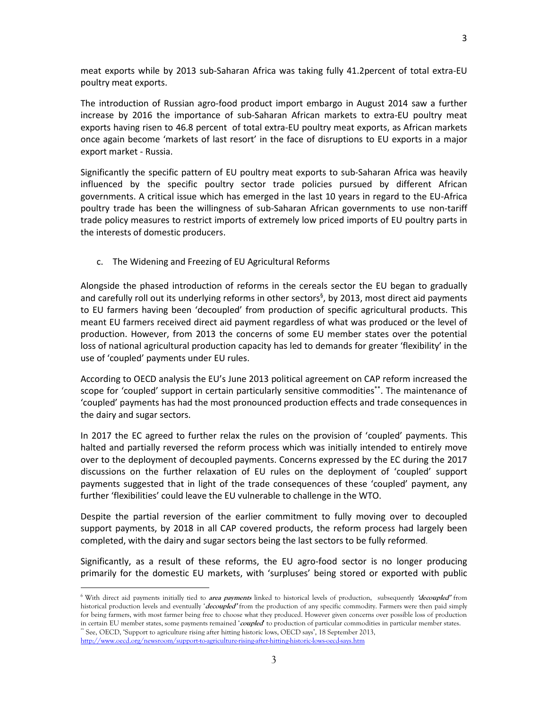meat exports while by 2013 sub-Saharan Africa was taking fully 41.2percent of total extra-EU poultry meat exports.

The introduction of Russian agro-food product import embargo in August 2014 saw a further increase by 2016 the importance of sub-Saharan African markets to extra-EU poultry meat exports having risen to 46.8 percent of total extra-EU poultry meat exports, as African markets once again become 'markets of last resort' in the face of disruptions to EU exports in a major export market - Russia.

Significantly the specific pattern of EU poultry meat exports to sub-Saharan Africa was heavily influenced by the specific poultry sector trade policies pursued by different African governments. A critical issue which has emerged in the last 10 years in regard to the EU-Africa poultry trade has been the willingness of sub-Saharan African governments to use non-tariff trade policy measures to restrict imports of extremely low priced imports of EU poultry parts in the interests of domestic producers.

c. The Widening and Freezing of EU Agricultural Reforms

Alongside the phased introduction of reforms in the cereals sector the EU began to gradually and carefully roll out its underlying reforms in other sectors<sup>§</sup>, by 2013, most direct aid payments to EU farmers having been 'decoupled' from production of specific agricultural products. This meant EU farmers received direct aid payment regardless of what was produced or the level of production. However, from 2013 the concerns of some EU member states over the potential loss of national agricultural production capacity has led to demands for greater 'flexibility' in the use of 'coupled' payments under EU rules.

According to OECD analysis the EU's June 2013 political agreement on CAP reform increased the scope for 'coupled' support in certain particularly sensitive commodities\*\*. The maintenance of 'coupled' payments has had the most pronounced production effects and trade consequences in the dairy and sugar sectors.

In 2017 the EC agreed to further relax the rules on the provision of 'coupled' payments. This halted and partially reversed the reform process which was initially intended to entirely move over to the deployment of decoupled payments. Concerns expressed by the EC during the 2017 discussions on the further relaxation of EU rules on the deployment of 'coupled' support payments suggested that in light of the trade consequences of these 'coupled' payment, any further 'flexibilities' could leave the EU vulnerable to challenge in the WTO.

Despite the partial reversion of the earlier commitment to fully moving over to decoupled support payments, by 2018 in all CAP covered products, the reform process had largely been completed, with the dairy and sugar sectors being the last sectors to be fully reformed.

Significantly, as a result of these reforms, the EU agro-food sector is no longer producing primarily for the domestic EU markets, with 'surpluses' being stored or exported with public

 $\overline{a}$ 

<sup>6</sup>With direct aid payments initially tied to **area payments** linked to historical levels of production, subsequently **'decoupled'** from historical production levels and eventually '**decoupled'** from the production of any specific commodity. Farmers were then paid simply for being farmers, with most farmer being free to choose what they produced. However given concerns over possible loss of production in certain EU member states, some payments remained '**coupled**' to production of particular commodities in particular member states. \*\* See, OECD, 'Support to agriculture rising after hitting historic lows, OECD says', 18 September 2013,

<http://www.oecd.org/newsroom/support-to-agriculture-rising-after-hitting-historic-lows-oecd-says.htm>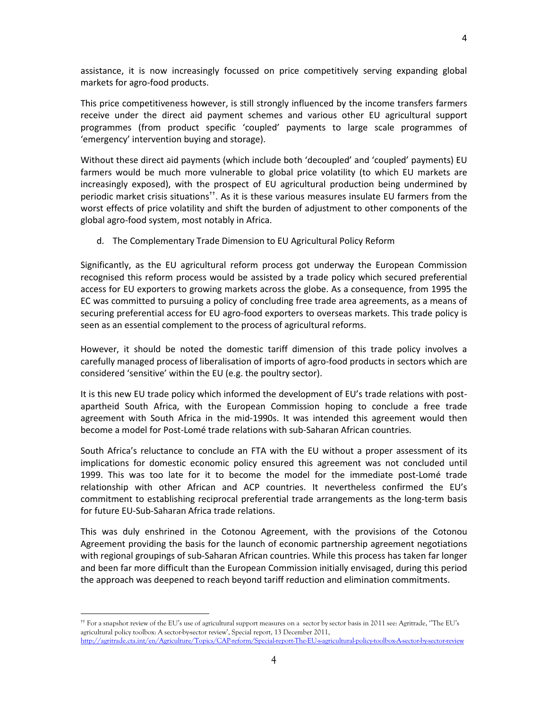assistance, it is now increasingly focussed on price competitively serving expanding global markets for agro-food products.

This price competitiveness however, is still strongly influenced by the income transfers farmers receive under the direct aid payment schemes and various other EU agricultural support programmes (from product specific 'coupled' payments to large scale programmes of 'emergency' intervention buying and storage).

Without these direct aid payments (which include both 'decoupled' and 'coupled' payments) EU farmers would be much more vulnerable to global price volatility (to which EU markets are increasingly exposed), with the prospect of EU agricultural production being undermined by periodic market crisis situations††. As it is these various measures insulate EU farmers from the worst effects of price volatility and shift the burden of adjustment to other components of the global agro-food system, most notably in Africa.

d. The Complementary Trade Dimension to EU Agricultural Policy Reform

Significantly, as the EU agricultural reform process got underway the European Commission recognised this reform process would be assisted by a trade policy which secured preferential access for EU exporters to growing markets across the globe. As a consequence, from 1995 the EC was committed to pursuing a policy of concluding free trade area agreements, as a means of securing preferential access for EU agro-food exporters to overseas markets. This trade policy is seen as an essential complement to the process of agricultural reforms.

However, it should be noted the domestic tariff dimension of this trade policy involves a carefully managed process of liberalisation of imports of agro-food products in sectors which are considered 'sensitive' within the EU (e.g. the poultry sector).

It is this new EU trade policy which informed the development of EU's trade relations with postapartheid South Africa, with the European Commission hoping to conclude a free trade agreement with South Africa in the mid-1990s. It was intended this agreement would then become a model for Post-Lomé trade relations with sub-Saharan African countries.

South Africa's reluctance to conclude an FTA with the EU without a proper assessment of its implications for domestic economic policy ensured this agreement was not concluded until 1999. This was too late for it to become the model for the immediate post-Lomé trade relationship with other African and ACP countries. It nevertheless confirmed the EU's commitment to establishing reciprocal preferential trade arrangements as the long-term basis for future EU-Sub-Saharan Africa trade relations.

This was duly enshrined in the Cotonou Agreement, with the provisions of the Cotonou Agreement providing the basis for the launch of economic partnership agreement negotiations with regional groupings of sub-Saharan African countries. While this process has taken far longer and been far more difficult than the European Commission initially envisaged, during this period the approach was deepened to reach beyond tariff reduction and elimination commitments.

 $\overline{a}$ 

<sup>††</sup> For a snapshot review of the EU's use of agricultural support measures on a sector by sector basis in 2011 see: Agritrade, ''The EU's agricultural policy toolbox: A sector-by-sector review', Special report, 13 December 2011, <http://agritrade.cta.int/en/Agriculture/Topics/CAP-reform/Special-report-The-EU-s-agricultural-policy-toolbox-A-sector-by-sector-review>